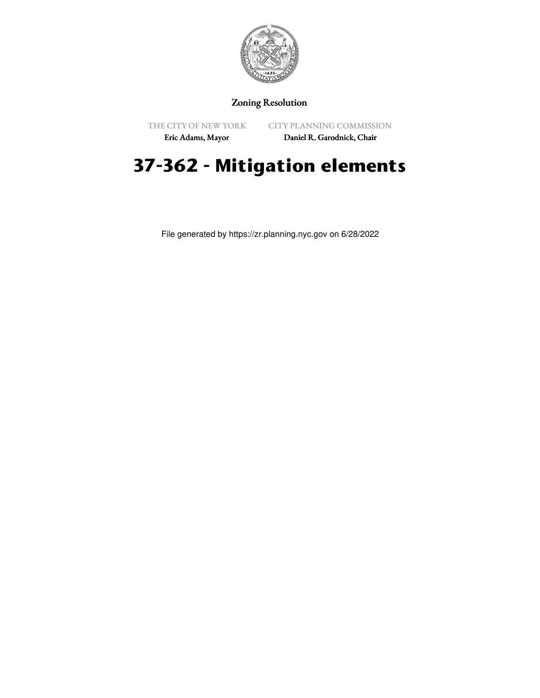

## Zoning Resolution

THE CITY OF NEW YORK

CITY PLANNING COMMISSION

Eric Adams, Mayor

Daniel R. Garodnick, Chair

# **37-362 - Mitigation elements**

File generated by https://zr.planning.nyc.gov on 6/28/2022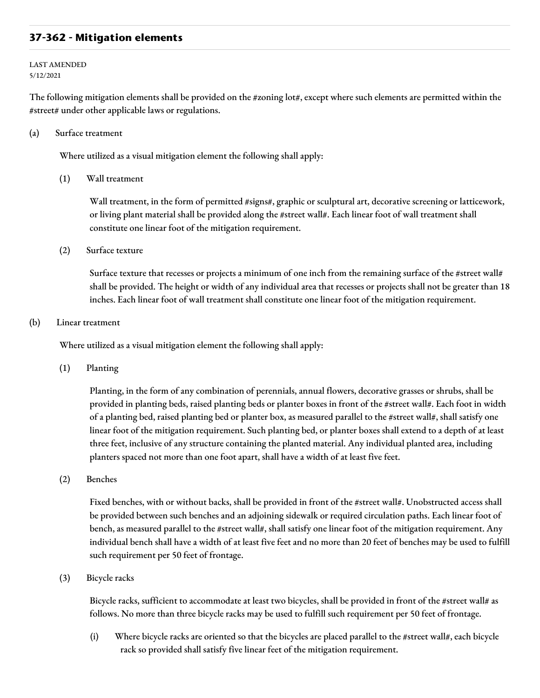### **37-362 - Mitigation elements**

LAST AMENDED 5/12/2021

The following mitigation elements shall be provided on the #zoning lot#, except where such elements are permitted within the #street# under other applicable laws or regulations.

(a) Surface treatment

Where utilized as a visual mitigation element the following shall apply:

(1) Wall treatment

Wall treatment, in the form of permitted #signs#, graphic or sculptural art, decorative screening or latticework, or living plant material shall be provided along the #street wall#. Each linear foot of wall treatment shall constitute one linear foot of the mitigation requirement.

(2) Surface texture

Surface texture that recesses or projects a minimum of one inch from the remaining surface of the #street wall# shall be provided. The height or width of any individual area that recesses or projects shall not be greater than 18 inches. Each linear foot of wall treatment shall constitute one linear foot of the mitigation requirement.

#### (b) Linear treatment

Where utilized as a visual mitigation element the following shall apply:

(1) Planting

Planting, in the form of any combination of perennials, annual flowers, decorative grasses or shrubs, shall be provided in planting beds, raised planting beds or planter boxes in front of the #street wall#. Each foot in width of a planting bed, raised planting bed or planter box, as measured parallel to the #street wall#, shall satisfy one linear foot of the mitigation requirement. Such planting bed, or planter boxes shall extend to a depth of at least three feet, inclusive of any structure containing the planted material. Any individual planted area, including planters spaced not more than one foot apart, shall have a width of at least five feet.

(2) Benches

Fixed benches, with or without backs, shall be provided in front of the #street wall#. Unobstructed access shall be provided between such benches and an adjoining sidewalk or required circulation paths. Each linear foot of bench, as measured parallel to the #street wall#, shall satisfy one linear foot of the mitigation requirement. Any individual bench shall have a width of at least five feet and no more than 20 feet of benches may be used to fulfill such requirement per 50 feet of frontage.

(3) Bicycle racks

Bicycle racks, sufficient to accommodate at least two bicycles, shall be provided in front of the #street wall# as follows. No more than three bicycle racks may be used to fulfill such requirement per 50 feet of frontage.

(i) Where bicycle racks are oriented so that the bicycles are placed parallel to the #street wall#, each bicycle rack so provided shall satisfy five linear feet of the mitigation requirement.